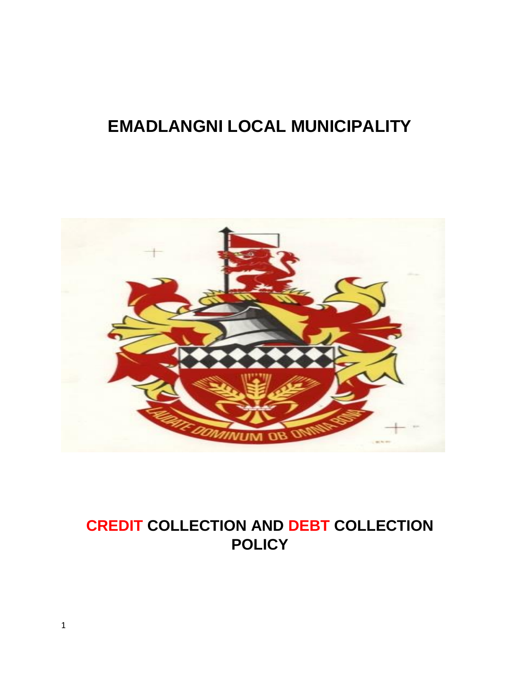# **EMADLANGNI LOCAL MUNICIPALITY**



## **CREDIT COLLECTION AND DEBT COLLECTION POLICY**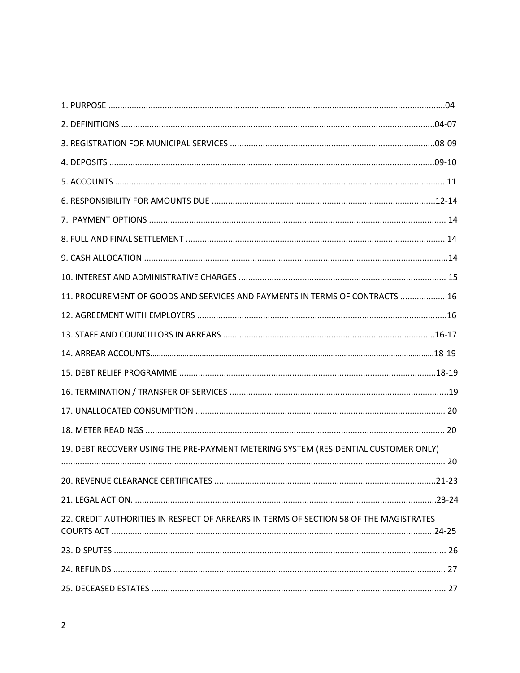| 11. PROCUREMENT OF GOODS AND SERVICES AND PAYMENTS IN TERMS OF CONTRACTS  16           |  |
|----------------------------------------------------------------------------------------|--|
|                                                                                        |  |
|                                                                                        |  |
|                                                                                        |  |
|                                                                                        |  |
|                                                                                        |  |
|                                                                                        |  |
|                                                                                        |  |
| 19. DEBT RECOVERY USING THE PRE-PAYMENT METERING SYSTEM (RESIDENTIAL CUSTOMER ONLY)    |  |
|                                                                                        |  |
|                                                                                        |  |
|                                                                                        |  |
| 22. CREDIT AUTHORITIES IN RESPECT OF ARREARS IN TERMS OF SECTION 58 OF THE MAGISTRATES |  |
|                                                                                        |  |
|                                                                                        |  |
|                                                                                        |  |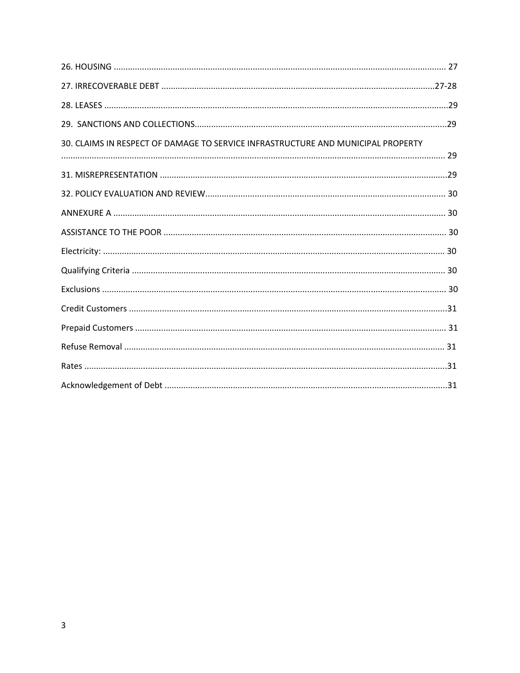| 30. CLAIMS IN RESPECT OF DAMAGE TO SERVICE INFRASTRUCTURE AND MUNICIPAL PROPERTY |  |
|----------------------------------------------------------------------------------|--|
|                                                                                  |  |
|                                                                                  |  |
|                                                                                  |  |
|                                                                                  |  |
|                                                                                  |  |
|                                                                                  |  |
|                                                                                  |  |
|                                                                                  |  |
|                                                                                  |  |
|                                                                                  |  |
|                                                                                  |  |
|                                                                                  |  |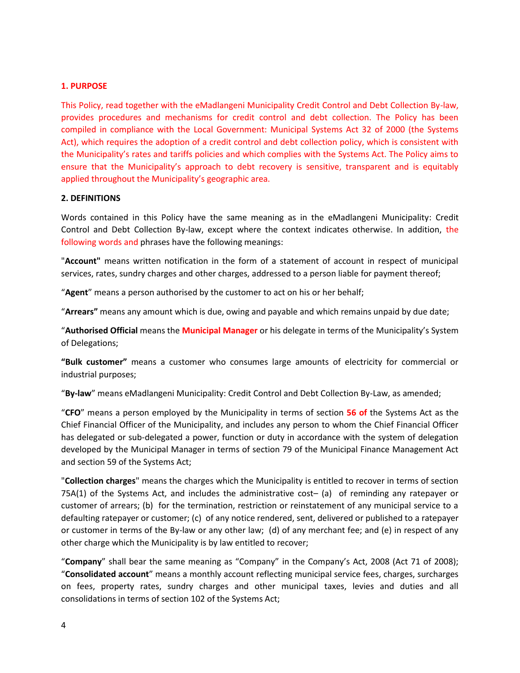#### **1. PURPOSE**

This Policy, read together with the eMadlangeni Municipality Credit Control and Debt Collection By-law, provides procedures and mechanisms for credit control and debt collection. The Policy has been compiled in compliance with the Local Government: Municipal Systems Act 32 of 2000 (the Systems Act), which requires the adoption of a credit control and debt collection policy, which is consistent with the Municipality's rates and tariffs policies and which complies with the Systems Act. The Policy aims to ensure that the Municipality's approach to debt recovery is sensitive, transparent and is equitably applied throughout the Municipality's geographic area.

#### **2. DEFINITIONS**

Words contained in this Policy have the same meaning as in the eMadlangeni Municipality: Credit Control and Debt Collection By-law, except where the context indicates otherwise. In addition, the following words and phrases have the following meanings:

"**Account"** means written notification in the form of a statement of account in respect of municipal services, rates, sundry charges and other charges, addressed to a person liable for payment thereof;

"**Agent**" means a person authorised by the customer to act on his or her behalf;

"**Arrears"** means any amount which is due, owing and payable and which remains unpaid by due date;

"**Authorised Official** means the **Municipal Manager** or his delegate in terms of the Municipality's System of Delegations;

**"Bulk customer"** means a customer who consumes large amounts of electricity for commercial or industrial purposes;

"**By-law**" means eMadlangeni Municipality: Credit Control and Debt Collection By-Law, as amended;

"**CFO**" means a person employed by the Municipality in terms of section **56 of** the Systems Act as the Chief Financial Officer of the Municipality, and includes any person to whom the Chief Financial Officer has delegated or sub-delegated a power, function or duty in accordance with the system of delegation developed by the Municipal Manager in terms of section 79 of the Municipal Finance Management Act and section 59 of the Systems Act;

"**Collection charges**" means the charges which the Municipality is entitled to recover in terms of section 75A(1) of the Systems Act, and includes the administrative cost– (a) of reminding any ratepayer or customer of arrears; (b) for the termination, restriction or reinstatement of any municipal service to a defaulting ratepayer or customer; (c) of any notice rendered, sent, delivered or published to a ratepayer or customer in terms of the By-law or any other law; (d) of any merchant fee; and (e) in respect of any other charge which the Municipality is by law entitled to recover;

"**Company**" shall bear the same meaning as "Company" in the Company's Act, 2008 (Act 71 of 2008); "**Consolidated account**" means a monthly account reflecting municipal service fees, charges, surcharges on fees, property rates, sundry charges and other municipal taxes, levies and duties and all consolidations in terms of section 102 of the Systems Act;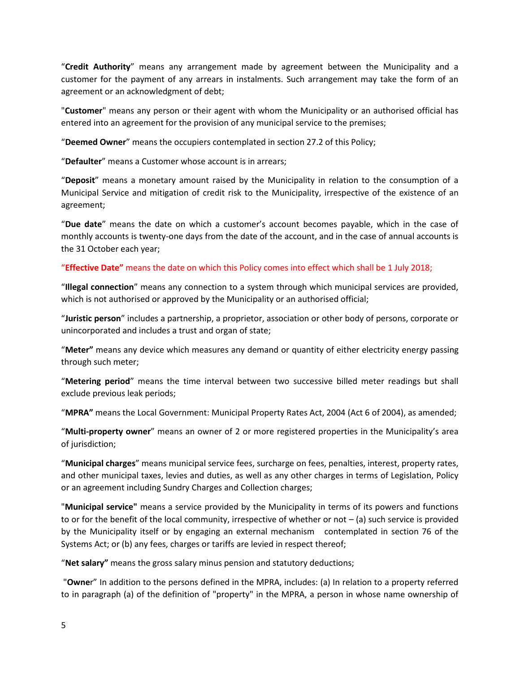"**Credit Authority**" means any arrangement made by agreement between the Municipality and a customer for the payment of any arrears in instalments. Such arrangement may take the form of an agreement or an acknowledgment of debt;

"**Customer**" means any person or their agent with whom the Municipality or an authorised official has entered into an agreement for the provision of any municipal service to the premises;

"**Deemed Owner**" means the occupiers contemplated in section 27.2 of this Policy;

"**Defaulter**" means a Customer whose account is in arrears;

"**Deposit**" means a monetary amount raised by the Municipality in relation to the consumption of a Municipal Service and mitigation of credit risk to the Municipality, irrespective of the existence of an agreement;

"**Due date**" means the date on which a customer's account becomes payable, which in the case of monthly accounts is twenty-one days from the date of the account, and in the case of annual accounts is the 31 October each year;

#### "**Effective Date"** means the date on which this Policy comes into effect which shall be 1 July 2018;

"**Illegal connection**" means any connection to a system through which municipal services are provided, which is not authorised or approved by the Municipality or an authorised official;

"**Juristic person**" includes a partnership, a proprietor, association or other body of persons, corporate or unincorporated and includes a trust and organ of state;

"**Meter"** means any device which measures any demand or quantity of either electricity energy passing through such meter;

"**Metering period**" means the time interval between two successive billed meter readings but shall exclude previous leak periods;

"**MPRA"** means the Local Government: Municipal Property Rates Act, 2004 (Act 6 of 2004), as amended;

"**Multi-property owner**" means an owner of 2 or more registered properties in the Municipality's area of jurisdiction;

"**Municipal charges**" means municipal service fees, surcharge on fees, penalties, interest, property rates, and other municipal taxes, levies and duties, as well as any other charges in terms of Legislation, Policy or an agreement including Sundry Charges and Collection charges;

"**Municipal service"** means a service provided by the Municipality in terms of its powers and functions to or for the benefit of the local community, irrespective of whether or not – (a) such service is provided by the Municipality itself or by engaging an external mechanism contemplated in section 76 of the Systems Act; or (b) any fees, charges or tariffs are levied in respect thereof;

"**Net salary"** means the gross salary minus pension and statutory deductions;

"**Owne**r" In addition to the persons defined in the MPRA, includes: (a) In relation to a property referred to in paragraph (a) of the definition of "property" in the MPRA, a person in whose name ownership of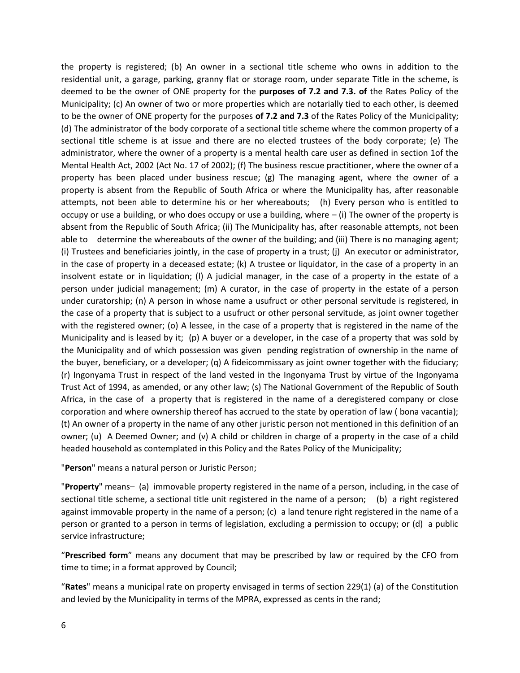the property is registered; (b) An owner in a sectional title scheme who owns in addition to the residential unit, a garage, parking, granny flat or storage room, under separate Title in the scheme, is deemed to be the owner of ONE property for the **purposes of 7.2 and 7.3. of** the Rates Policy of the Municipality; (c) An owner of two or more properties which are notarially tied to each other, is deemed to be the owner of ONE property for the purposes **of 7.2 and 7.3** of the Rates Policy of the Municipality; (d) The administrator of the body corporate of a sectional title scheme where the common property of a sectional title scheme is at issue and there are no elected trustees of the body corporate; (e) The administrator, where the owner of a property is a mental health care user as defined in section 1of the Mental Health Act, 2002 (Act No. 17 of 2002); (f) The business rescue practitioner, where the owner of a property has been placed under business rescue; (g) The managing agent, where the owner of a property is absent from the Republic of South Africa or where the Municipality has, after reasonable attempts, not been able to determine his or her whereabouts; (h) Every person who is entitled to occupy or use a building, or who does occupy or use a building, where – (i) The owner of the property is absent from the Republic of South Africa; (ii) The Municipality has, after reasonable attempts, not been able to determine the whereabouts of the owner of the building; and (iii) There is no managing agent; (i) Trustees and beneficiaries jointly, in the case of property in a trust; (j) An executor or administrator, in the case of property in a deceased estate; (k) A trustee or liquidator, in the case of a property in an insolvent estate or in liquidation; (l) A judicial manager, in the case of a property in the estate of a person under judicial management; (m) A curator, in the case of property in the estate of a person under curatorship; (n) A person in whose name a usufruct or other personal servitude is registered, in the case of a property that is subject to a usufruct or other personal servitude, as joint owner together with the registered owner; (o) A lessee, in the case of a property that is registered in the name of the Municipality and is leased by it; (p) A buyer or a developer, in the case of a property that was sold by the Municipality and of which possession was given pending registration of ownership in the name of the buyer, beneficiary, or a developer; (q) A fideicommissary as joint owner together with the fiduciary; (r) Ingonyama Trust in respect of the land vested in the Ingonyama Trust by virtue of the Ingonyama Trust Act of 1994, as amended, or any other law; (s) The National Government of the Republic of South Africa, in the case of a property that is registered in the name of a deregistered company or close corporation and where ownership thereof has accrued to the state by operation of law ( bona vacantia); (t) An owner of a property in the name of any other juristic person not mentioned in this definition of an owner; (u) A Deemed Owner; and (v) A child or children in charge of a property in the case of a child headed household as contemplated in this Policy and the Rates Policy of the Municipality;

"**Person**" means a natural person or Juristic Person;

"**Property**" means– (a) immovable property registered in the name of a person, including, in the case of sectional title scheme, a sectional title unit registered in the name of a person; (b) a right registered against immovable property in the name of a person; (c) a land tenure right registered in the name of a person or granted to a person in terms of legislation, excluding a permission to occupy; or (d) a public service infrastructure;

"**Prescribed form**" means any document that may be prescribed by law or required by the CFO from time to time; in a format approved by Council;

"**Rates**" means a municipal rate on property envisaged in terms of section 229(1) (a) of the Constitution and levied by the Municipality in terms of the MPRA, expressed as cents in the rand;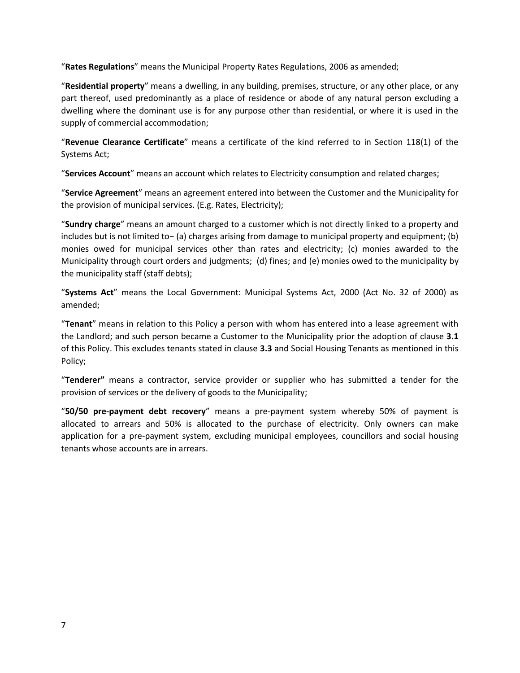"**Rates Regulations**" means the Municipal Property Rates Regulations, 2006 as amended;

"**Residential property**" means a dwelling, in any building, premises, structure, or any other place, or any part thereof, used predominantly as a place of residence or abode of any natural person excluding a dwelling where the dominant use is for any purpose other than residential, or where it is used in the supply of commercial accommodation;

"**Revenue Clearance Certificate**" means a certificate of the kind referred to in Section 118(1) of the Systems Act;

"**Services Account**" means an account which relates to Electricity consumption and related charges;

"**Service Agreement**" means an agreement entered into between the Customer and the Municipality for the provision of municipal services. (E.g. Rates, Electricity);

"**Sundry charge**" means an amount charged to a customer which is not directly linked to a property and includes but is not limited to− (a) charges arising from damage to municipal property and equipment; (b) monies owed for municipal services other than rates and electricity; (c) monies awarded to the Municipality through court orders and judgments; (d) fines; and (e) monies owed to the municipality by the municipality staff (staff debts);

"**Systems Act**" means the Local Government: Municipal Systems Act, 2000 (Act No. 32 of 2000) as amended;

"**Tenant**" means in relation to this Policy a person with whom has entered into a lease agreement with the Landlord; and such person became a Customer to the Municipality prior the adoption of clause **3.1** of this Policy. This excludes tenants stated in clause **3.3** and Social Housing Tenants as mentioned in this Policy;

"**Tenderer"** means a contractor, service provider or supplier who has submitted a tender for the provision of services or the delivery of goods to the Municipality;

"**50/50 pre-payment debt recovery**" means a pre-payment system whereby 50% of payment is allocated to arrears and 50% is allocated to the purchase of electricity. Only owners can make application for a pre-payment system, excluding municipal employees, councillors and social housing tenants whose accounts are in arrears.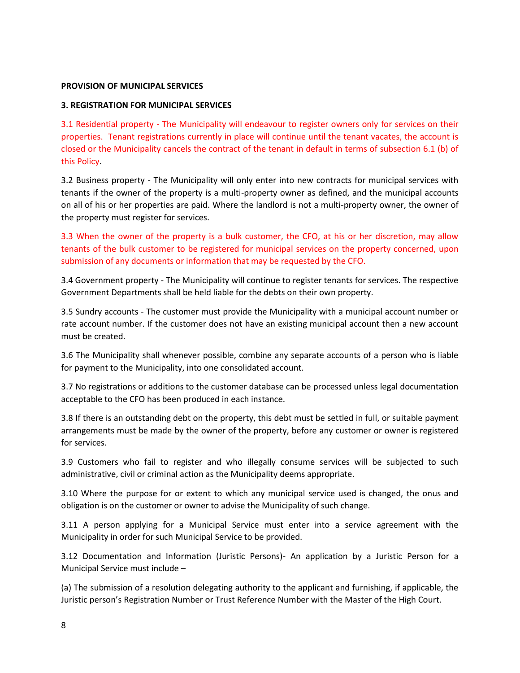#### **PROVISION OF MUNICIPAL SERVICES**

#### **3. REGISTRATION FOR MUNICIPAL SERVICES**

3.1 Residential property - The Municipality will endeavour to register owners only for services on their properties. Tenant registrations currently in place will continue until the tenant vacates, the account is closed or the Municipality cancels the contract of the tenant in default in terms of subsection 6.1 (b) of this Policy.

3.2 Business property - The Municipality will only enter into new contracts for municipal services with tenants if the owner of the property is a multi-property owner as defined, and the municipal accounts on all of his or her properties are paid. Where the landlord is not a multi-property owner, the owner of the property must register for services.

3.3 When the owner of the property is a bulk customer, the CFO, at his or her discretion, may allow tenants of the bulk customer to be registered for municipal services on the property concerned, upon submission of any documents or information that may be requested by the CFO.

3.4 Government property - The Municipality will continue to register tenants for services. The respective Government Departments shall be held liable for the debts on their own property.

3.5 Sundry accounts - The customer must provide the Municipality with a municipal account number or rate account number. If the customer does not have an existing municipal account then a new account must be created.

3.6 The Municipality shall whenever possible, combine any separate accounts of a person who is liable for payment to the Municipality, into one consolidated account.

3.7 No registrations or additions to the customer database can be processed unless legal documentation acceptable to the CFO has been produced in each instance.

3.8 If there is an outstanding debt on the property, this debt must be settled in full, or suitable payment arrangements must be made by the owner of the property, before any customer or owner is registered for services.

3.9 Customers who fail to register and who illegally consume services will be subjected to such administrative, civil or criminal action as the Municipality deems appropriate.

3.10 Where the purpose for or extent to which any municipal service used is changed, the onus and obligation is on the customer or owner to advise the Municipality of such change.

3.11 A person applying for a Municipal Service must enter into a service agreement with the Municipality in order for such Municipal Service to be provided.

3.12 Documentation and Information (Juristic Persons)- An application by a Juristic Person for a Municipal Service must include –

(a) The submission of a resolution delegating authority to the applicant and furnishing, if applicable, the Juristic person's Registration Number or Trust Reference Number with the Master of the High Court.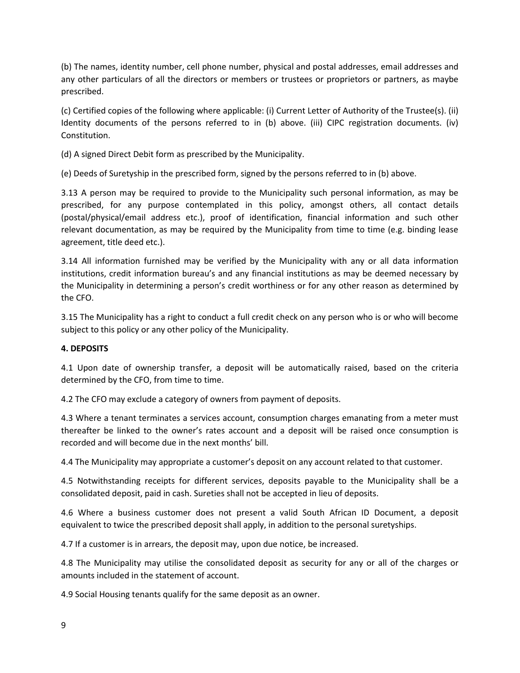(b) The names, identity number, cell phone number, physical and postal addresses, email addresses and any other particulars of all the directors or members or trustees or proprietors or partners, as maybe prescribed.

(c) Certified copies of the following where applicable: (i) Current Letter of Authority of the Trustee(s). (ii) Identity documents of the persons referred to in (b) above. (iii) CIPC registration documents. (iv) Constitution.

(d) A signed Direct Debit form as prescribed by the Municipality.

(e) Deeds of Suretyship in the prescribed form, signed by the persons referred to in (b) above.

3.13 A person may be required to provide to the Municipality such personal information, as may be prescribed, for any purpose contemplated in this policy, amongst others, all contact details (postal/physical/email address etc.), proof of identification, financial information and such other relevant documentation, as may be required by the Municipality from time to time (e.g. binding lease agreement, title deed etc.).

3.14 All information furnished may be verified by the Municipality with any or all data information institutions, credit information bureau's and any financial institutions as may be deemed necessary by the Municipality in determining a person's credit worthiness or for any other reason as determined by the CFO.

3.15 The Municipality has a right to conduct a full credit check on any person who is or who will become subject to this policy or any other policy of the Municipality.

## **4. DEPOSITS**

4.1 Upon date of ownership transfer, a deposit will be automatically raised, based on the criteria determined by the CFO, from time to time.

4.2 The CFO may exclude a category of owners from payment of deposits.

4.3 Where a tenant terminates a services account, consumption charges emanating from a meter must thereafter be linked to the owner's rates account and a deposit will be raised once consumption is recorded and will become due in the next months' bill.

4.4 The Municipality may appropriate a customer's deposit on any account related to that customer.

4.5 Notwithstanding receipts for different services, deposits payable to the Municipality shall be a consolidated deposit, paid in cash. Sureties shall not be accepted in lieu of deposits.

4.6 Where a business customer does not present a valid South African ID Document, a deposit equivalent to twice the prescribed deposit shall apply, in addition to the personal suretyships.

4.7 If a customer is in arrears, the deposit may, upon due notice, be increased.

4.8 The Municipality may utilise the consolidated deposit as security for any or all of the charges or amounts included in the statement of account.

4.9 Social Housing tenants qualify for the same deposit as an owner.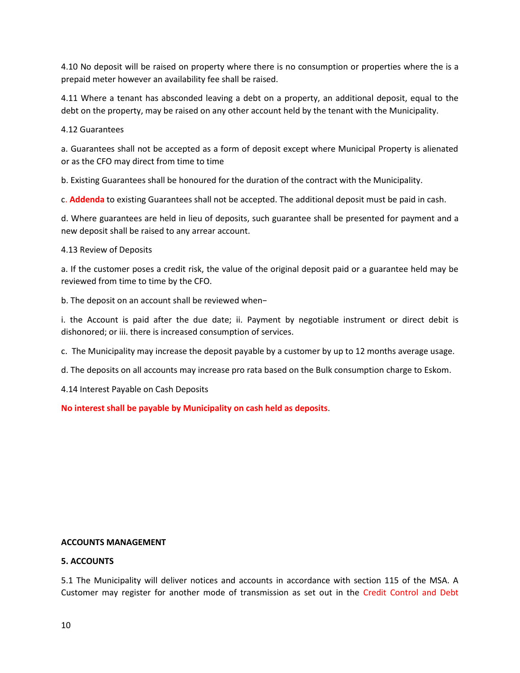4.10 No deposit will be raised on property where there is no consumption or properties where the is a prepaid meter however an availability fee shall be raised.

4.11 Where a tenant has absconded leaving a debt on a property, an additional deposit, equal to the debt on the property, may be raised on any other account held by the tenant with the Municipality.

4.12 Guarantees

a. Guarantees shall not be accepted as a form of deposit except where Municipal Property is alienated or as the CFO may direct from time to time

b. Existing Guarantees shall be honoured for the duration of the contract with the Municipality.

c. **Addenda** to existing Guarantees shall not be accepted. The additional deposit must be paid in cash.

d. Where guarantees are held in lieu of deposits, such guarantee shall be presented for payment and a new deposit shall be raised to any arrear account.

4.13 Review of Deposits

a. If the customer poses a credit risk, the value of the original deposit paid or a guarantee held may be reviewed from time to time by the CFO.

b. The deposit on an account shall be reviewed when−

i. the Account is paid after the due date; ii. Payment by negotiable instrument or direct debit is dishonored; or iii. there is increased consumption of services.

c. The Municipality may increase the deposit payable by a customer by up to 12 months average usage.

d. The deposits on all accounts may increase pro rata based on the Bulk consumption charge to Eskom.

4.14 Interest Payable on Cash Deposits

**No interest shall be payable by Municipality on cash held as deposits**.

## **ACCOUNTS MANAGEMENT**

## **5. ACCOUNTS**

5.1 The Municipality will deliver notices and accounts in accordance with section 115 of the MSA. A Customer may register for another mode of transmission as set out in the Credit Control and Debt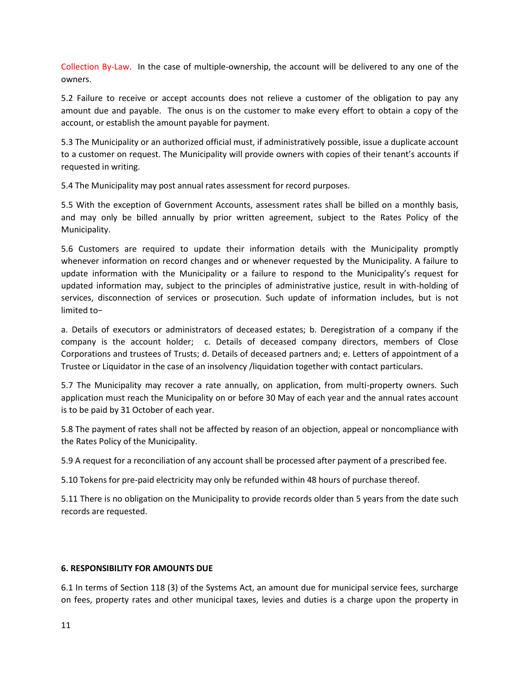Collection By-Law. In the case of multiple-ownership, the account will be delivered to any one of the owners.

5.2 Failure to receive or accept accounts does not relieve a customer of the obligation to pay any amount due and payable. The onus is on the customer to make every effort to obtain a copy of the account, or establish the amount payable for payment.

5.3 The Municipality or an authorized official must, if administratively possible, issue a duplicate account to a customer on request. The Municipality will provide owners with copies of their tenant's accounts if requested in writing.

5.4 The Municipality may post annual rates assessment for record purposes.

5.5 With the exception of Government Accounts, assessment rates shall be billed on a monthly basis, and may only be billed annually by prior written agreement, subject to the Rates Policy of the Municipality.

5.6 Customers are required to update their information details with the Municipality promptly whenever information on record changes and or whenever requested by the Municipality. A failure to update information with the Municipality or a failure to respond to the Municipality's request for updated information may, subject to the principles of administrative justice, result in with-holding of services, disconnection of services or prosecution. Such update of information includes, but is not limited to−

a. Details of executors or administrators of deceased estates; b. Deregistration of a company if the company is the account holder; c. Details of deceased company directors, members of Close Corporations and trustees of Trusts; d. Details of deceased partners and; e. Letters of appointment of a Trustee or Liquidator in the case of an insolvency /liquidation together with contact particulars.

5.7 The Municipality may recover a rate annually, on application, from multi-property owners. Such application must reach the Municipality on or before 30 May of each year and the annual rates account is to be paid by 31 October of each year.

5.8 The payment of rates shall not be affected by reason of an objection, appeal or noncompliance with the Rates Policy of the Municipality.

5.9 A request for a reconciliation of any account shall be processed after payment of a prescribed fee.

5.10 Tokens for pre-paid electricity may only be refunded within 48 hours of purchase thereof.

5.11 There is no obligation on the Municipality to provide records older than 5 years from the date such records are requested.

#### **6. RESPONSIBILITY FOR AMOUNTS DUE**

6.1 In terms of Section 118 (3) of the Systems Act, an amount due for municipal service fees, surcharge on fees, property rates and other municipal taxes, levies and duties is a charge upon the property in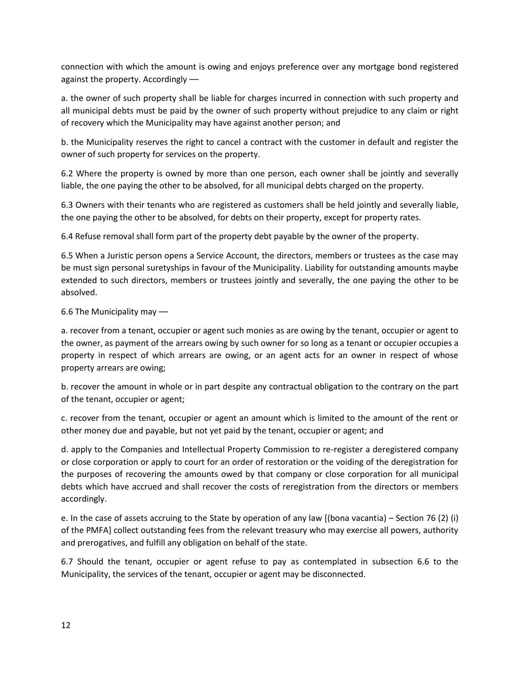connection with which the amount is owing and enjoys preference over any mortgage bond registered against the property. Accordingly ––

a. the owner of such property shall be liable for charges incurred in connection with such property and all municipal debts must be paid by the owner of such property without prejudice to any claim or right of recovery which the Municipality may have against another person; and

b. the Municipality reserves the right to cancel a contract with the customer in default and register the owner of such property for services on the property.

6.2 Where the property is owned by more than one person, each owner shall be jointly and severally liable, the one paying the other to be absolved, for all municipal debts charged on the property.

6.3 Owners with their tenants who are registered as customers shall be held jointly and severally liable, the one paying the other to be absolved, for debts on their property, except for property rates.

6.4 Refuse removal shall form part of the property debt payable by the owner of the property.

6.5 When a Juristic person opens a Service Account, the directors, members or trustees as the case may be must sign personal suretyships in favour of the Municipality. Liability for outstanding amounts maybe extended to such directors, members or trustees jointly and severally, the one paying the other to be absolved.

6.6 The Municipality may ––

a. recover from a tenant, occupier or agent such monies as are owing by the tenant, occupier or agent to the owner, as payment of the arrears owing by such owner for so long as a tenant or occupier occupies a property in respect of which arrears are owing, or an agent acts for an owner in respect of whose property arrears are owing;

b. recover the amount in whole or in part despite any contractual obligation to the contrary on the part of the tenant, occupier or agent;

c. recover from the tenant, occupier or agent an amount which is limited to the amount of the rent or other money due and payable, but not yet paid by the tenant, occupier or agent; and

d. apply to the Companies and Intellectual Property Commission to re-register a deregistered company or close corporation or apply to court for an order of restoration or the voiding of the deregistration for the purposes of recovering the amounts owed by that company or close corporation for all municipal debts which have accrued and shall recover the costs of reregistration from the directors or members accordingly.

e. In the case of assets accruing to the State by operation of any law [(bona vacantia) – Section 76 (2) (i) of the PMFA] collect outstanding fees from the relevant treasury who may exercise all powers, authority and prerogatives, and fulfill any obligation on behalf of the state.

6.7 Should the tenant, occupier or agent refuse to pay as contemplated in subsection 6.6 to the Municipality, the services of the tenant, occupier or agent may be disconnected.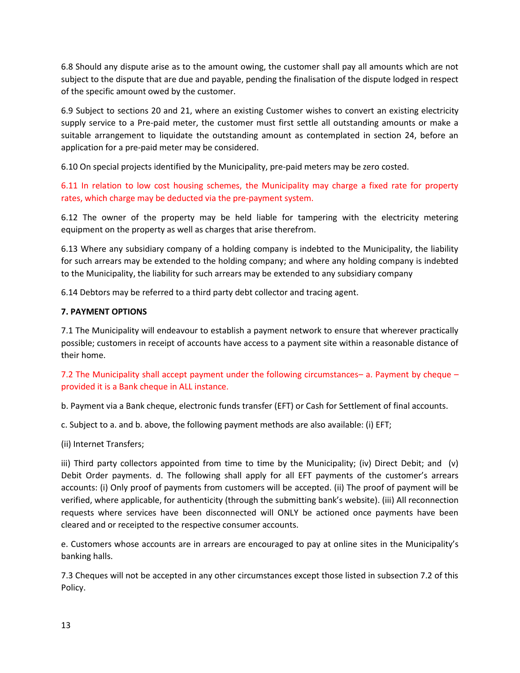6.8 Should any dispute arise as to the amount owing, the customer shall pay all amounts which are not subject to the dispute that are due and payable, pending the finalisation of the dispute lodged in respect of the specific amount owed by the customer.

6.9 Subject to sections 20 and 21, where an existing Customer wishes to convert an existing electricity supply service to a Pre-paid meter, the customer must first settle all outstanding amounts or make a suitable arrangement to liquidate the outstanding amount as contemplated in section 24, before an application for a pre-paid meter may be considered.

6.10 On special projects identified by the Municipality, pre-paid meters may be zero costed.

6.11 In relation to low cost housing schemes, the Municipality may charge a fixed rate for property rates, which charge may be deducted via the pre-payment system.

6.12 The owner of the property may be held liable for tampering with the electricity metering equipment on the property as well as charges that arise therefrom.

6.13 Where any subsidiary company of a holding company is indebted to the Municipality, the liability for such arrears may be extended to the holding company; and where any holding company is indebted to the Municipality, the liability for such arrears may be extended to any subsidiary company

6.14 Debtors may be referred to a third party debt collector and tracing agent.

## **7. PAYMENT OPTIONS**

7.1 The Municipality will endeavour to establish a payment network to ensure that wherever practically possible; customers in receipt of accounts have access to a payment site within a reasonable distance of their home.

7.2 The Municipality shall accept payment under the following circumstances– a. Payment by cheque – provided it is a Bank cheque in ALL instance.

b. Payment via a Bank cheque, electronic funds transfer (EFT) or Cash for Settlement of final accounts.

c. Subject to a. and b. above, the following payment methods are also available: (i) EFT;

(ii) Internet Transfers;

iii) Third party collectors appointed from time to time by the Municipality; (iv) Direct Debit; and (v) Debit Order payments. d. The following shall apply for all EFT payments of the customer's arrears accounts: (i) Only proof of payments from customers will be accepted. (ii) The proof of payment will be verified, where applicable, for authenticity (through the submitting bank's website). (iii) All reconnection requests where services have been disconnected will ONLY be actioned once payments have been cleared and or receipted to the respective consumer accounts.

e. Customers whose accounts are in arrears are encouraged to pay at online sites in the Municipality's banking halls.

7.3 Cheques will not be accepted in any other circumstances except those listed in subsection 7.2 of this Policy.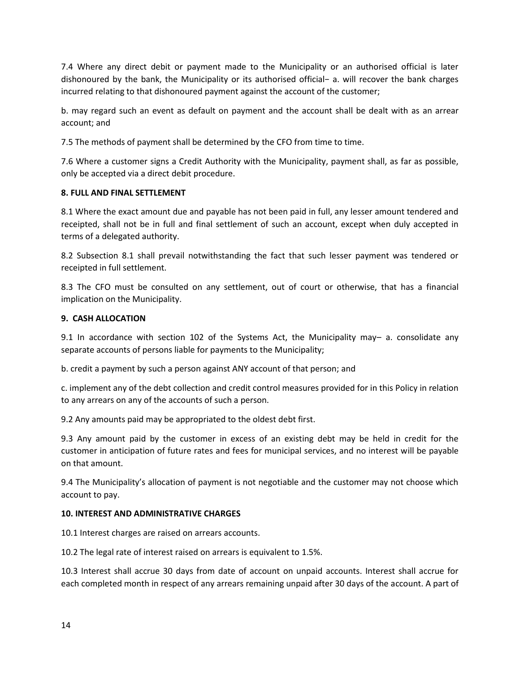7.4 Where any direct debit or payment made to the Municipality or an authorised official is later dishonoured by the bank, the Municipality or its authorised official− a. will recover the bank charges incurred relating to that dishonoured payment against the account of the customer;

b. may regard such an event as default on payment and the account shall be dealt with as an arrear account; and

7.5 The methods of payment shall be determined by the CFO from time to time.

7.6 Where a customer signs a Credit Authority with the Municipality, payment shall, as far as possible, only be accepted via a direct debit procedure.

## **8. FULL AND FINAL SETTLEMENT**

8.1 Where the exact amount due and payable has not been paid in full, any lesser amount tendered and receipted, shall not be in full and final settlement of such an account, except when duly accepted in terms of a delegated authority.

8.2 Subsection 8.1 shall prevail notwithstanding the fact that such lesser payment was tendered or receipted in full settlement.

8.3 The CFO must be consulted on any settlement, out of court or otherwise, that has a financial implication on the Municipality.

## **9. CASH ALLOCATION**

9.1 In accordance with section 102 of the Systems Act, the Municipality may– a. consolidate any separate accounts of persons liable for payments to the Municipality;

b. credit a payment by such a person against ANY account of that person; and

c. implement any of the debt collection and credit control measures provided for in this Policy in relation to any arrears on any of the accounts of such a person.

9.2 Any amounts paid may be appropriated to the oldest debt first.

9.3 Any amount paid by the customer in excess of an existing debt may be held in credit for the customer in anticipation of future rates and fees for municipal services, and no interest will be payable on that amount.

9.4 The Municipality's allocation of payment is not negotiable and the customer may not choose which account to pay.

## **10. INTEREST AND ADMINISTRATIVE CHARGES**

10.1 Interest charges are raised on arrears accounts.

10.2 The legal rate of interest raised on arrears is equivalent to 1.5%.

10.3 Interest shall accrue 30 days from date of account on unpaid accounts. Interest shall accrue for each completed month in respect of any arrears remaining unpaid after 30 days of the account. A part of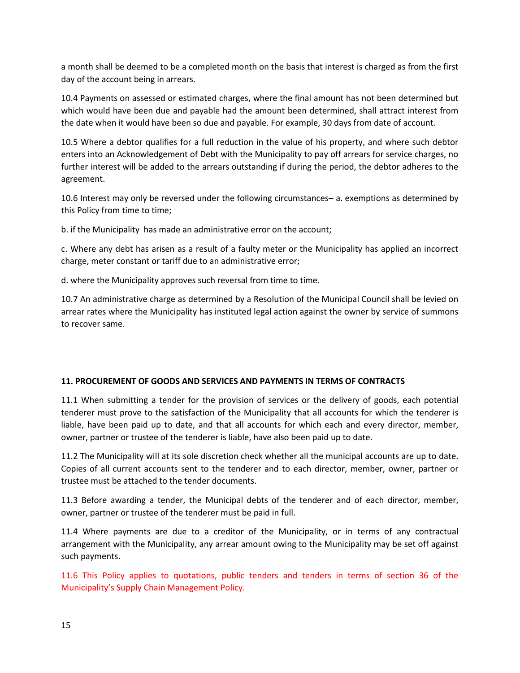a month shall be deemed to be a completed month on the basis that interest is charged as from the first day of the account being in arrears.

10.4 Payments on assessed or estimated charges, where the final amount has not been determined but which would have been due and payable had the amount been determined, shall attract interest from the date when it would have been so due and payable. For example, 30 days from date of account.

10.5 Where a debtor qualifies for a full reduction in the value of his property, and where such debtor enters into an Acknowledgement of Debt with the Municipality to pay off arrears for service charges, no further interest will be added to the arrears outstanding if during the period, the debtor adheres to the agreement.

10.6 Interest may only be reversed under the following circumstances– a. exemptions as determined by this Policy from time to time;

b. if the Municipality has made an administrative error on the account;

c. Where any debt has arisen as a result of a faulty meter or the Municipality has applied an incorrect charge, meter constant or tariff due to an administrative error;

d. where the Municipality approves such reversal from time to time.

10.7 An administrative charge as determined by a Resolution of the Municipal Council shall be levied on arrear rates where the Municipality has instituted legal action against the owner by service of summons to recover same.

## **11. PROCUREMENT OF GOODS AND SERVICES AND PAYMENTS IN TERMS OF CONTRACTS**

11.1 When submitting a tender for the provision of services or the delivery of goods, each potential tenderer must prove to the satisfaction of the Municipality that all accounts for which the tenderer is liable, have been paid up to date, and that all accounts for which each and every director, member, owner, partner or trustee of the tenderer is liable, have also been paid up to date.

11.2 The Municipality will at its sole discretion check whether all the municipal accounts are up to date. Copies of all current accounts sent to the tenderer and to each director, member, owner, partner or trustee must be attached to the tender documents.

11.3 Before awarding a tender, the Municipal debts of the tenderer and of each director, member, owner, partner or trustee of the tenderer must be paid in full.

11.4 Where payments are due to a creditor of the Municipality, or in terms of any contractual arrangement with the Municipality, any arrear amount owing to the Municipality may be set off against such payments.

11.6 This Policy applies to quotations, public tenders and tenders in terms of section 36 of the Municipality's Supply Chain Management Policy.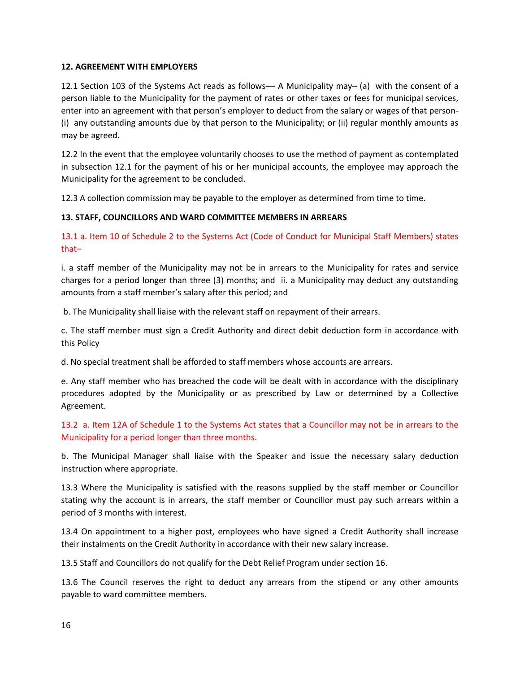## **12. AGREEMENT WITH EMPLOYERS**

12.1 Section 103 of the Systems Act reads as follows–– A Municipality may– (a) with the consent of a person liable to the Municipality for the payment of rates or other taxes or fees for municipal services, enter into an agreement with that person's employer to deduct from the salary or wages of that person- (i) any outstanding amounts due by that person to the Municipality; or (ii) regular monthly amounts as may be agreed.

12.2 In the event that the employee voluntarily chooses to use the method of payment as contemplated in subsection 12.1 for the payment of his or her municipal accounts, the employee may approach the Municipality for the agreement to be concluded.

12.3 A collection commission may be payable to the employer as determined from time to time.

## **13. STAFF, COUNCILLORS AND WARD COMMITTEE MEMBERS IN ARREARS**

13.1 a. Item 10 of Schedule 2 to the Systems Act (Code of Conduct for Municipal Staff Members) states that–

i. a staff member of the Municipality may not be in arrears to the Municipality for rates and service charges for a period longer than three (3) months; and ii. a Municipality may deduct any outstanding amounts from a staff member's salary after this period; and

b. The Municipality shall liaise with the relevant staff on repayment of their arrears.

c. The staff member must sign a Credit Authority and direct debit deduction form in accordance with this Policy

d. No special treatment shall be afforded to staff members whose accounts are arrears.

e. Any staff member who has breached the code will be dealt with in accordance with the disciplinary procedures adopted by the Municipality or as prescribed by Law or determined by a Collective Agreement.

13.2 a. Item 12A of Schedule 1 to the Systems Act states that a Councillor may not be in arrears to the Municipality for a period longer than three months.

b. The Municipal Manager shall liaise with the Speaker and issue the necessary salary deduction instruction where appropriate.

13.3 Where the Municipality is satisfied with the reasons supplied by the staff member or Councillor stating why the account is in arrears, the staff member or Councillor must pay such arrears within a period of 3 months with interest.

13.4 On appointment to a higher post, employees who have signed a Credit Authority shall increase their instalments on the Credit Authority in accordance with their new salary increase.

13.5 Staff and Councillors do not qualify for the Debt Relief Program under section 16.

13.6 The Council reserves the right to deduct any arrears from the stipend or any other amounts payable to ward committee members.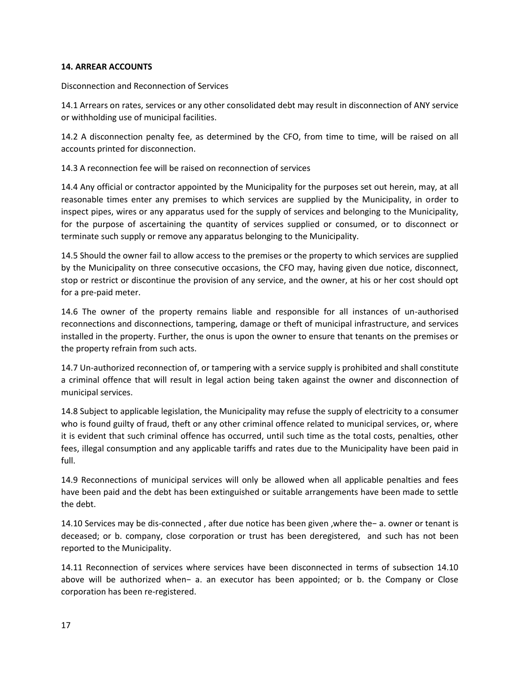## **14. ARREAR ACCOUNTS**

Disconnection and Reconnection of Services

14.1 Arrears on rates, services or any other consolidated debt may result in disconnection of ANY service or withholding use of municipal facilities.

14.2 A disconnection penalty fee, as determined by the CFO, from time to time, will be raised on all accounts printed for disconnection.

14.3 A reconnection fee will be raised on reconnection of services

14.4 Any official or contractor appointed by the Municipality for the purposes set out herein, may, at all reasonable times enter any premises to which services are supplied by the Municipality, in order to inspect pipes, wires or any apparatus used for the supply of services and belonging to the Municipality, for the purpose of ascertaining the quantity of services supplied or consumed, or to disconnect or terminate such supply or remove any apparatus belonging to the Municipality.

14.5 Should the owner fail to allow access to the premises or the property to which services are supplied by the Municipality on three consecutive occasions, the CFO may, having given due notice, disconnect, stop or restrict or discontinue the provision of any service, and the owner, at his or her cost should opt for a pre-paid meter.

14.6 The owner of the property remains liable and responsible for all instances of un-authorised reconnections and disconnections, tampering, damage or theft of municipal infrastructure, and services installed in the property. Further, the onus is upon the owner to ensure that tenants on the premises or the property refrain from such acts.

14.7 Un-authorized reconnection of, or tampering with a service supply is prohibited and shall constitute a criminal offence that will result in legal action being taken against the owner and disconnection of municipal services.

14.8 Subject to applicable legislation, the Municipality may refuse the supply of electricity to a consumer who is found guilty of fraud, theft or any other criminal offence related to municipal services, or, where it is evident that such criminal offence has occurred, until such time as the total costs, penalties, other fees, illegal consumption and any applicable tariffs and rates due to the Municipality have been paid in full.

14.9 Reconnections of municipal services will only be allowed when all applicable penalties and fees have been paid and the debt has been extinguished or suitable arrangements have been made to settle the debt.

14.10 Services may be dis-connected , after due notice has been given ,where the− a. owner or tenant is deceased; or b. company, close corporation or trust has been deregistered, and such has not been reported to the Municipality.

14.11 Reconnection of services where services have been disconnected in terms of subsection 14.10 above will be authorized when− a. an executor has been appointed; or b. the Company or Close corporation has been re-registered.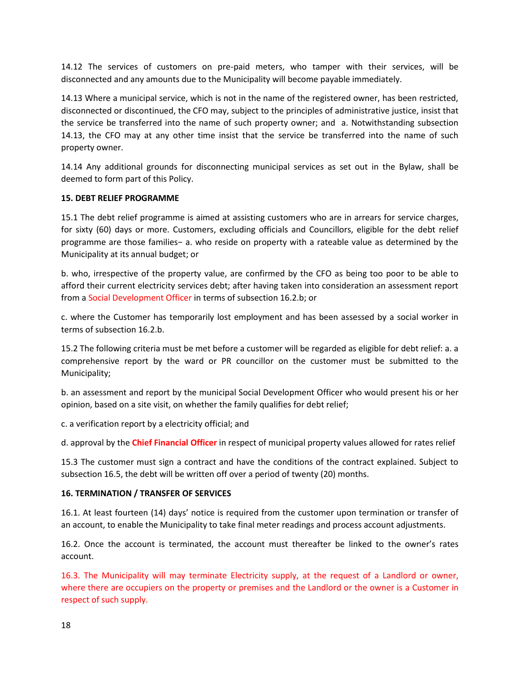14.12 The services of customers on pre-paid meters, who tamper with their services, will be disconnected and any amounts due to the Municipality will become payable immediately.

14.13 Where a municipal service, which is not in the name of the registered owner, has been restricted, disconnected or discontinued, the CFO may, subject to the principles of administrative justice, insist that the service be transferred into the name of such property owner; and a. Notwithstanding subsection 14.13, the CFO may at any other time insist that the service be transferred into the name of such property owner.

14.14 Any additional grounds for disconnecting municipal services as set out in the Bylaw, shall be deemed to form part of this Policy.

## **15. DEBT RELIEF PROGRAMME**

15.1 The debt relief programme is aimed at assisting customers who are in arrears for service charges, for sixty (60) days or more. Customers, excluding officials and Councillors, eligible for the debt relief programme are those families− a. who reside on property with a rateable value as determined by the Municipality at its annual budget; or

b. who, irrespective of the property value, are confirmed by the CFO as being too poor to be able to afford their current electricity services debt; after having taken into consideration an assessment report from a Social Development Officer in terms of subsection 16.2.b; or

c. where the Customer has temporarily lost employment and has been assessed by a social worker in terms of subsection 16.2.b.

15.2 The following criteria must be met before a customer will be regarded as eligible for debt relief: a. a comprehensive report by the ward or PR councillor on the customer must be submitted to the Municipality;

b. an assessment and report by the municipal Social Development Officer who would present his or her opinion, based on a site visit, on whether the family qualifies for debt relief;

c. a verification report by a electricity official; and

d. approval by the **Chief Financial Officer** in respect of municipal property values allowed for rates relief

15.3 The customer must sign a contract and have the conditions of the contract explained. Subject to subsection 16.5, the debt will be written off over a period of twenty (20) months.

#### **16. TERMINATION / TRANSFER OF SERVICES**

16.1. At least fourteen (14) days' notice is required from the customer upon termination or transfer of an account, to enable the Municipality to take final meter readings and process account adjustments.

16.2. Once the account is terminated, the account must thereafter be linked to the owner's rates account.

16.3. The Municipality will may terminate Electricity supply, at the request of a Landlord or owner, where there are occupiers on the property or premises and the Landlord or the owner is a Customer in respect of such supply.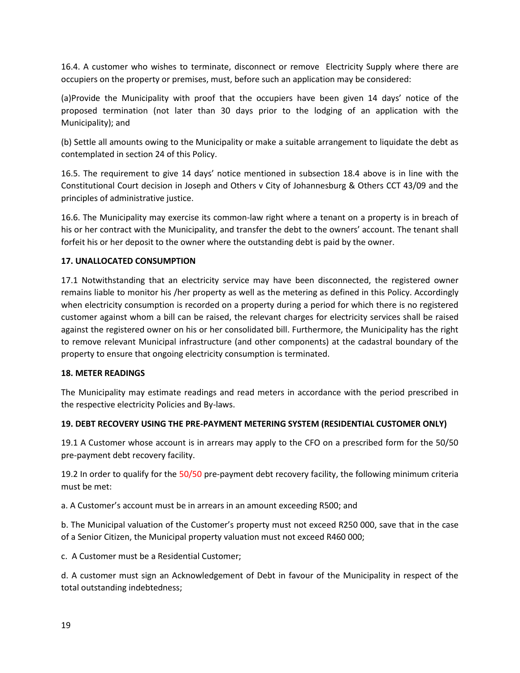16.4. A customer who wishes to terminate, disconnect or remove Electricity Supply where there are occupiers on the property or premises, must, before such an application may be considered:

(a)Provide the Municipality with proof that the occupiers have been given 14 days' notice of the proposed termination (not later than 30 days prior to the lodging of an application with the Municipality); and

(b) Settle all amounts owing to the Municipality or make a suitable arrangement to liquidate the debt as contemplated in section 24 of this Policy.

16.5. The requirement to give 14 days' notice mentioned in subsection 18.4 above is in line with the Constitutional Court decision in Joseph and Others v City of Johannesburg & Others CCT 43/09 and the principles of administrative justice.

16.6. The Municipality may exercise its common-law right where a tenant on a property is in breach of his or her contract with the Municipality, and transfer the debt to the owners' account. The tenant shall forfeit his or her deposit to the owner where the outstanding debt is paid by the owner.

## **17. UNALLOCATED CONSUMPTION**

17.1 Notwithstanding that an electricity service may have been disconnected, the registered owner remains liable to monitor his /her property as well as the metering as defined in this Policy. Accordingly when electricity consumption is recorded on a property during a period for which there is no registered customer against whom a bill can be raised, the relevant charges for electricity services shall be raised against the registered owner on his or her consolidated bill. Furthermore, the Municipality has the right to remove relevant Municipal infrastructure (and other components) at the cadastral boundary of the property to ensure that ongoing electricity consumption is terminated.

## **18. METER READINGS**

The Municipality may estimate readings and read meters in accordance with the period prescribed in the respective electricity Policies and By-laws.

## **19. DEBT RECOVERY USING THE PRE-PAYMENT METERING SYSTEM (RESIDENTIAL CUSTOMER ONLY)**

19.1 A Customer whose account is in arrears may apply to the CFO on a prescribed form for the 50/50 pre-payment debt recovery facility.

19.2 In order to qualify for the 50/50 pre-payment debt recovery facility, the following minimum criteria must be met:

a. A Customer's account must be in arrears in an amount exceeding R500; and

b. The Municipal valuation of the Customer's property must not exceed R250 000, save that in the case of a Senior Citizen, the Municipal property valuation must not exceed R460 000;

c. A Customer must be a Residential Customer;

d. A customer must sign an Acknowledgement of Debt in favour of the Municipality in respect of the total outstanding indebtedness;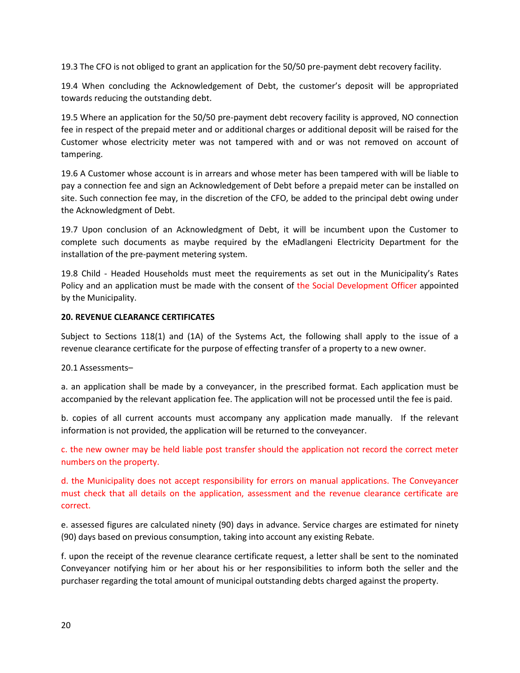19.3 The CFO is not obliged to grant an application for the 50/50 pre-payment debt recovery facility.

19.4 When concluding the Acknowledgement of Debt, the customer's deposit will be appropriated towards reducing the outstanding debt.

19.5 Where an application for the 50/50 pre-payment debt recovery facility is approved, NO connection fee in respect of the prepaid meter and or additional charges or additional deposit will be raised for the Customer whose electricity meter was not tampered with and or was not removed on account of tampering.

19.6 A Customer whose account is in arrears and whose meter has been tampered with will be liable to pay a connection fee and sign an Acknowledgement of Debt before a prepaid meter can be installed on site. Such connection fee may, in the discretion of the CFO, be added to the principal debt owing under the Acknowledgment of Debt.

19.7 Upon conclusion of an Acknowledgment of Debt, it will be incumbent upon the Customer to complete such documents as maybe required by the eMadlangeni Electricity Department for the installation of the pre-payment metering system.

19.8 Child - Headed Households must meet the requirements as set out in the Municipality's Rates Policy and an application must be made with the consent of the Social Development Officer appointed by the Municipality.

## **20. REVENUE CLEARANCE CERTIFICATES**

Subject to Sections 118(1) and (1A) of the Systems Act, the following shall apply to the issue of a revenue clearance certificate for the purpose of effecting transfer of a property to a new owner.

20.1 Assessments–

a. an application shall be made by a conveyancer, in the prescribed format. Each application must be accompanied by the relevant application fee. The application will not be processed until the fee is paid.

b. copies of all current accounts must accompany any application made manually. If the relevant information is not provided, the application will be returned to the conveyancer.

c. the new owner may be held liable post transfer should the application not record the correct meter numbers on the property.

d. the Municipality does not accept responsibility for errors on manual applications. The Conveyancer must check that all details on the application, assessment and the revenue clearance certificate are correct.

e. assessed figures are calculated ninety (90) days in advance. Service charges are estimated for ninety (90) days based on previous consumption, taking into account any existing Rebate.

f. upon the receipt of the revenue clearance certificate request, a letter shall be sent to the nominated Conveyancer notifying him or her about his or her responsibilities to inform both the seller and the purchaser regarding the total amount of municipal outstanding debts charged against the property.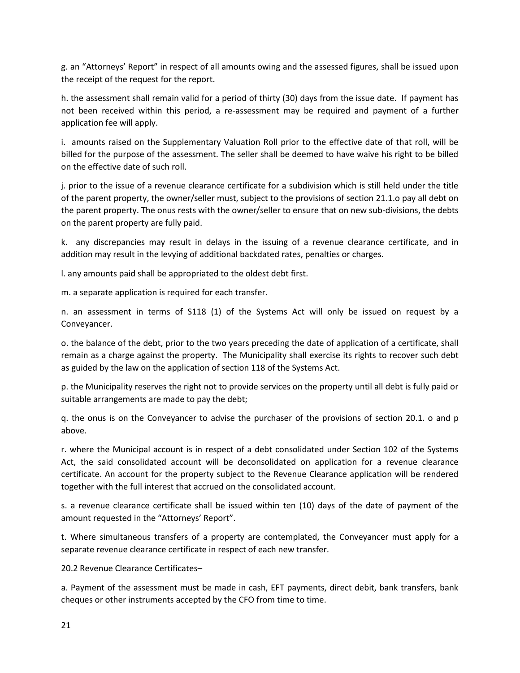g. an "Attorneys' Report" in respect of all amounts owing and the assessed figures, shall be issued upon the receipt of the request for the report.

h. the assessment shall remain valid for a period of thirty (30) days from the issue date. If payment has not been received within this period, a re-assessment may be required and payment of a further application fee will apply.

i. amounts raised on the Supplementary Valuation Roll prior to the effective date of that roll, will be billed for the purpose of the assessment. The seller shall be deemed to have waive his right to be billed on the effective date of such roll.

j. prior to the issue of a revenue clearance certificate for a subdivision which is still held under the title of the parent property, the owner/seller must, subject to the provisions of section 21.1.o pay all debt on the parent property. The onus rests with the owner/seller to ensure that on new sub-divisions, the debts on the parent property are fully paid.

k. any discrepancies may result in delays in the issuing of a revenue clearance certificate, and in addition may result in the levying of additional backdated rates, penalties or charges.

l. any amounts paid shall be appropriated to the oldest debt first.

m. a separate application is required for each transfer.

n. an assessment in terms of S118 (1) of the Systems Act will only be issued on request by a Conveyancer.

o. the balance of the debt, prior to the two years preceding the date of application of a certificate, shall remain as a charge against the property. The Municipality shall exercise its rights to recover such debt as guided by the law on the application of section 118 of the Systems Act.

p. the Municipality reserves the right not to provide services on the property until all debt is fully paid or suitable arrangements are made to pay the debt;

q. the onus is on the Conveyancer to advise the purchaser of the provisions of section 20.1. o and p above.

r. where the Municipal account is in respect of a debt consolidated under Section 102 of the Systems Act, the said consolidated account will be deconsolidated on application for a revenue clearance certificate. An account for the property subject to the Revenue Clearance application will be rendered together with the full interest that accrued on the consolidated account.

s. a revenue clearance certificate shall be issued within ten (10) days of the date of payment of the amount requested in the "Attorneys' Report".

t. Where simultaneous transfers of a property are contemplated, the Conveyancer must apply for a separate revenue clearance certificate in respect of each new transfer.

20.2 Revenue Clearance Certificates–

a. Payment of the assessment must be made in cash, EFT payments, direct debit, bank transfers, bank cheques or other instruments accepted by the CFO from time to time.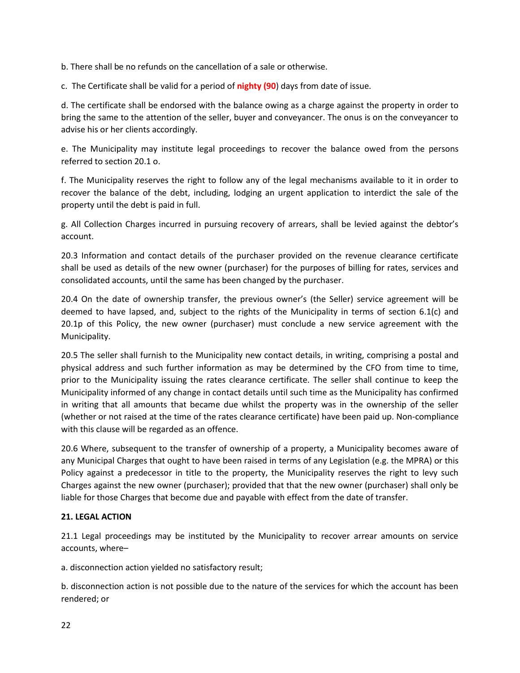b. There shall be no refunds on the cancellation of a sale or otherwise.

c. The Certificate shall be valid for a period of **nighty (90**) days from date of issue.

d. The certificate shall be endorsed with the balance owing as a charge against the property in order to bring the same to the attention of the seller, buyer and conveyancer. The onus is on the conveyancer to advise his or her clients accordingly.

e. The Municipality may institute legal proceedings to recover the balance owed from the persons referred to section 20.1 o.

f. The Municipality reserves the right to follow any of the legal mechanisms available to it in order to recover the balance of the debt, including, lodging an urgent application to interdict the sale of the property until the debt is paid in full.

g. All Collection Charges incurred in pursuing recovery of arrears, shall be levied against the debtor's account.

20.3 Information and contact details of the purchaser provided on the revenue clearance certificate shall be used as details of the new owner (purchaser) for the purposes of billing for rates, services and consolidated accounts, until the same has been changed by the purchaser.

20.4 On the date of ownership transfer, the previous owner's (the Seller) service agreement will be deemed to have lapsed, and, subject to the rights of the Municipality in terms of section 6.1(c) and 20.1p of this Policy, the new owner (purchaser) must conclude a new service agreement with the Municipality.

20.5 The seller shall furnish to the Municipality new contact details, in writing, comprising a postal and physical address and such further information as may be determined by the CFO from time to time, prior to the Municipality issuing the rates clearance certificate. The seller shall continue to keep the Municipality informed of any change in contact details until such time as the Municipality has confirmed in writing that all amounts that became due whilst the property was in the ownership of the seller (whether or not raised at the time of the rates clearance certificate) have been paid up. Non-compliance with this clause will be regarded as an offence.

20.6 Where, subsequent to the transfer of ownership of a property, a Municipality becomes aware of any Municipal Charges that ought to have been raised in terms of any Legislation (e.g. the MPRA) or this Policy against a predecessor in title to the property, the Municipality reserves the right to levy such Charges against the new owner (purchaser); provided that that the new owner (purchaser) shall only be liable for those Charges that become due and payable with effect from the date of transfer.

## **21. LEGAL ACTION**

21.1 Legal proceedings may be instituted by the Municipality to recover arrear amounts on service accounts, where–

a. disconnection action yielded no satisfactory result;

b. disconnection action is not possible due to the nature of the services for which the account has been rendered; or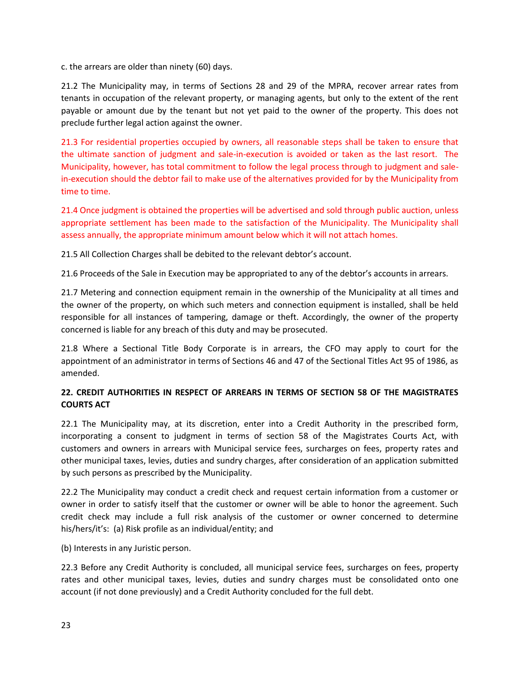c. the arrears are older than ninety (60) days.

21.2 The Municipality may, in terms of Sections 28 and 29 of the MPRA, recover arrear rates from tenants in occupation of the relevant property, or managing agents, but only to the extent of the rent payable or amount due by the tenant but not yet paid to the owner of the property. This does not preclude further legal action against the owner.

21.3 For residential properties occupied by owners, all reasonable steps shall be taken to ensure that the ultimate sanction of judgment and sale-in-execution is avoided or taken as the last resort. The Municipality, however, has total commitment to follow the legal process through to judgment and salein-execution should the debtor fail to make use of the alternatives provided for by the Municipality from time to time.

21.4 Once judgment is obtained the properties will be advertised and sold through public auction, unless appropriate settlement has been made to the satisfaction of the Municipality. The Municipality shall assess annually, the appropriate minimum amount below which it will not attach homes.

21.5 All Collection Charges shall be debited to the relevant debtor's account.

21.6 Proceeds of the Sale in Execution may be appropriated to any of the debtor's accounts in arrears.

21.7 Metering and connection equipment remain in the ownership of the Municipality at all times and the owner of the property, on which such meters and connection equipment is installed, shall be held responsible for all instances of tampering, damage or theft. Accordingly, the owner of the property concerned is liable for any breach of this duty and may be prosecuted.

21.8 Where a Sectional Title Body Corporate is in arrears, the CFO may apply to court for the appointment of an administrator in terms of Sections 46 and 47 of the Sectional Titles Act 95 of 1986, as amended.

## **22. CREDIT AUTHORITIES IN RESPECT OF ARREARS IN TERMS OF SECTION 58 OF THE MAGISTRATES COURTS ACT**

22.1 The Municipality may, at its discretion, enter into a Credit Authority in the prescribed form, incorporating a consent to judgment in terms of section 58 of the Magistrates Courts Act, with customers and owners in arrears with Municipal service fees, surcharges on fees, property rates and other municipal taxes, levies, duties and sundry charges, after consideration of an application submitted by such persons as prescribed by the Municipality.

22.2 The Municipality may conduct a credit check and request certain information from a customer or owner in order to satisfy itself that the customer or owner will be able to honor the agreement. Such credit check may include a full risk analysis of the customer or owner concerned to determine his/hers/it's: (a) Risk profile as an individual/entity; and

(b) Interests in any Juristic person.

22.3 Before any Credit Authority is concluded, all municipal service fees, surcharges on fees, property rates and other municipal taxes, levies, duties and sundry charges must be consolidated onto one account (if not done previously) and a Credit Authority concluded for the full debt.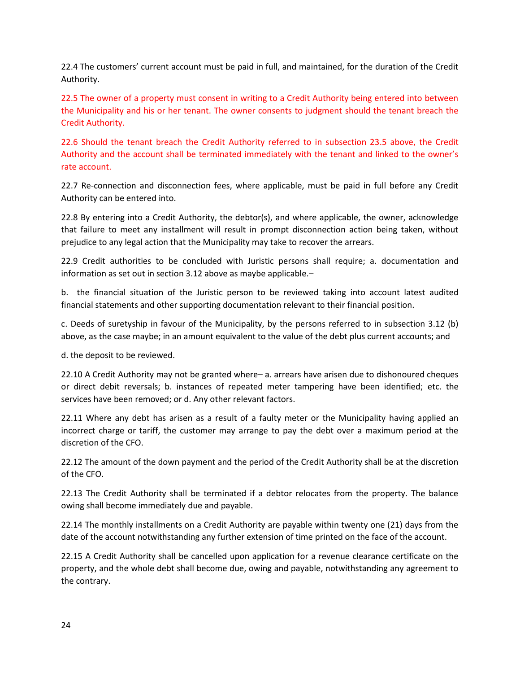22.4 The customers' current account must be paid in full, and maintained, for the duration of the Credit Authority.

22.5 The owner of a property must consent in writing to a Credit Authority being entered into between the Municipality and his or her tenant. The owner consents to judgment should the tenant breach the Credit Authority.

22.6 Should the tenant breach the Credit Authority referred to in subsection 23.5 above, the Credit Authority and the account shall be terminated immediately with the tenant and linked to the owner's rate account.

22.7 Re-connection and disconnection fees, where applicable, must be paid in full before any Credit Authority can be entered into.

22.8 By entering into a Credit Authority, the debtor(s), and where applicable, the owner, acknowledge that failure to meet any installment will result in prompt disconnection action being taken, without prejudice to any legal action that the Municipality may take to recover the arrears.

22.9 Credit authorities to be concluded with Juristic persons shall require; a. documentation and information as set out in section 3.12 above as maybe applicable.–

b. the financial situation of the Juristic person to be reviewed taking into account latest audited financial statements and other supporting documentation relevant to their financial position.

c. Deeds of suretyship in favour of the Municipality, by the persons referred to in subsection 3.12 (b) above, as the case maybe; in an amount equivalent to the value of the debt plus current accounts; and

d. the deposit to be reviewed.

22.10 A Credit Authority may not be granted where– a. arrears have arisen due to dishonoured cheques or direct debit reversals; b. instances of repeated meter tampering have been identified; etc. the services have been removed; or d. Any other relevant factors.

22.11 Where any debt has arisen as a result of a faulty meter or the Municipality having applied an incorrect charge or tariff, the customer may arrange to pay the debt over a maximum period at the discretion of the CFO.

22.12 The amount of the down payment and the period of the Credit Authority shall be at the discretion of the CFO.

22.13 The Credit Authority shall be terminated if a debtor relocates from the property. The balance owing shall become immediately due and payable.

22.14 The monthly installments on a Credit Authority are payable within twenty one (21) days from the date of the account notwithstanding any further extension of time printed on the face of the account.

22.15 A Credit Authority shall be cancelled upon application for a revenue clearance certificate on the property, and the whole debt shall become due, owing and payable, notwithstanding any agreement to the contrary.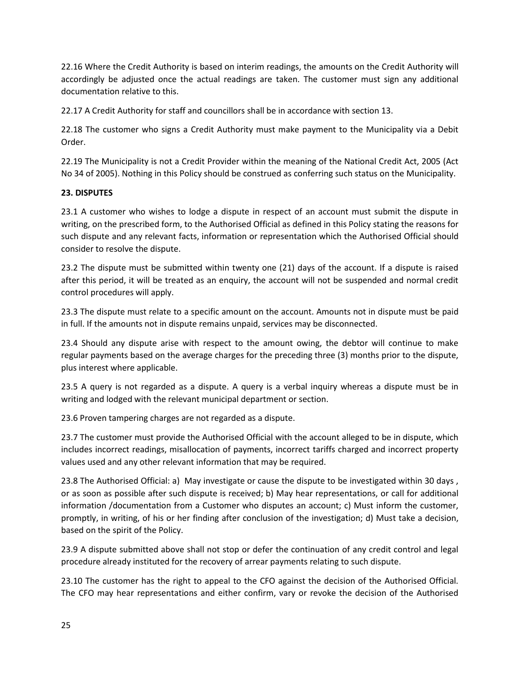22.16 Where the Credit Authority is based on interim readings, the amounts on the Credit Authority will accordingly be adjusted once the actual readings are taken. The customer must sign any additional documentation relative to this.

22.17 A Credit Authority for staff and councillors shall be in accordance with section 13.

22.18 The customer who signs a Credit Authority must make payment to the Municipality via a Debit Order.

22.19 The Municipality is not a Credit Provider within the meaning of the National Credit Act, 2005 (Act No 34 of 2005). Nothing in this Policy should be construed as conferring such status on the Municipality.

## **23. DISPUTES**

23.1 A customer who wishes to lodge a dispute in respect of an account must submit the dispute in writing, on the prescribed form, to the Authorised Official as defined in this Policy stating the reasons for such dispute and any relevant facts, information or representation which the Authorised Official should consider to resolve the dispute.

23.2 The dispute must be submitted within twenty one (21) days of the account. If a dispute is raised after this period, it will be treated as an enquiry, the account will not be suspended and normal credit control procedures will apply.

23.3 The dispute must relate to a specific amount on the account. Amounts not in dispute must be paid in full. If the amounts not in dispute remains unpaid, services may be disconnected.

23.4 Should any dispute arise with respect to the amount owing, the debtor will continue to make regular payments based on the average charges for the preceding three (3) months prior to the dispute, plus interest where applicable.

23.5 A query is not regarded as a dispute. A query is a verbal inquiry whereas a dispute must be in writing and lodged with the relevant municipal department or section.

23.6 Proven tampering charges are not regarded as a dispute.

23.7 The customer must provide the Authorised Official with the account alleged to be in dispute, which includes incorrect readings, misallocation of payments, incorrect tariffs charged and incorrect property values used and any other relevant information that may be required.

23.8 The Authorised Official: a) May investigate or cause the dispute to be investigated within 30 days , or as soon as possible after such dispute is received; b) May hear representations, or call for additional information /documentation from a Customer who disputes an account; c) Must inform the customer, promptly, in writing, of his or her finding after conclusion of the investigation; d) Must take a decision, based on the spirit of the Policy.

23.9 A dispute submitted above shall not stop or defer the continuation of any credit control and legal procedure already instituted for the recovery of arrear payments relating to such dispute.

23.10 The customer has the right to appeal to the CFO against the decision of the Authorised Official. The CFO may hear representations and either confirm, vary or revoke the decision of the Authorised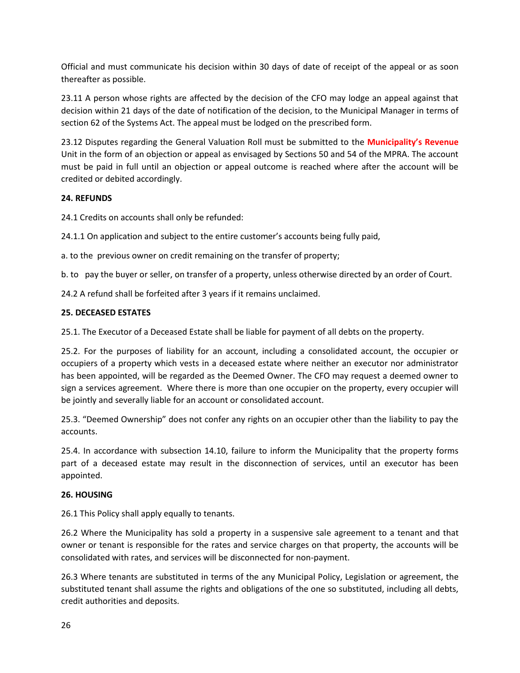Official and must communicate his decision within 30 days of date of receipt of the appeal or as soon thereafter as possible.

23.11 A person whose rights are affected by the decision of the CFO may lodge an appeal against that decision within 21 days of the date of notification of the decision, to the Municipal Manager in terms of section 62 of the Systems Act. The appeal must be lodged on the prescribed form.

23.12 Disputes regarding the General Valuation Roll must be submitted to the **Municipality's Revenue** Unit in the form of an objection or appeal as envisaged by Sections 50 and 54 of the MPRA. The account must be paid in full until an objection or appeal outcome is reached where after the account will be credited or debited accordingly.

## **24. REFUNDS**

24.1 Credits on accounts shall only be refunded:

24.1.1 On application and subject to the entire customer's accounts being fully paid,

a. to the previous owner on credit remaining on the transfer of property;

b. to pay the buyer or seller, on transfer of a property, unless otherwise directed by an order of Court.

24.2 A refund shall be forfeited after 3 years if it remains unclaimed.

## **25. DECEASED ESTATES**

25.1. The Executor of a Deceased Estate shall be liable for payment of all debts on the property.

25.2. For the purposes of liability for an account, including a consolidated account, the occupier or occupiers of a property which vests in a deceased estate where neither an executor nor administrator has been appointed, will be regarded as the Deemed Owner. The CFO may request a deemed owner to sign a services agreement. Where there is more than one occupier on the property, every occupier will be jointly and severally liable for an account or consolidated account.

25.3. "Deemed Ownership" does not confer any rights on an occupier other than the liability to pay the accounts.

25.4. In accordance with subsection 14.10, failure to inform the Municipality that the property forms part of a deceased estate may result in the disconnection of services, until an executor has been appointed.

## **26. HOUSING**

26.1 This Policy shall apply equally to tenants.

26.2 Where the Municipality has sold a property in a suspensive sale agreement to a tenant and that owner or tenant is responsible for the rates and service charges on that property, the accounts will be consolidated with rates, and services will be disconnected for non-payment.

26.3 Where tenants are substituted in terms of the any Municipal Policy, Legislation or agreement, the substituted tenant shall assume the rights and obligations of the one so substituted, including all debts, credit authorities and deposits.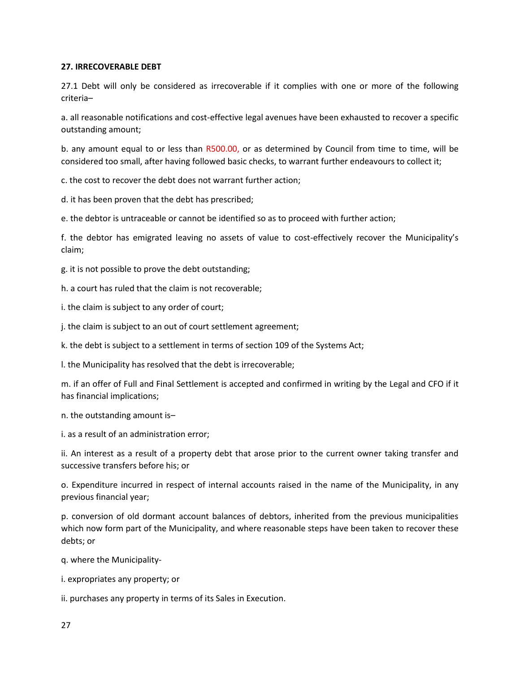## **27. IRRECOVERABLE DEBT**

27.1 Debt will only be considered as irrecoverable if it complies with one or more of the following criteria–

a. all reasonable notifications and cost-effective legal avenues have been exhausted to recover a specific outstanding amount;

b. any amount equal to or less than R500.00, or as determined by Council from time to time, will be considered too small, after having followed basic checks, to warrant further endeavours to collect it;

c. the cost to recover the debt does not warrant further action;

d. it has been proven that the debt has prescribed;

e. the debtor is untraceable or cannot be identified so as to proceed with further action;

f. the debtor has emigrated leaving no assets of value to cost-effectively recover the Municipality's claim;

g. it is not possible to prove the debt outstanding;

h. a court has ruled that the claim is not recoverable;

i. the claim is subject to any order of court;

j. the claim is subject to an out of court settlement agreement;

k. the debt is subject to a settlement in terms of section 109 of the Systems Act;

l. the Municipality has resolved that the debt is irrecoverable;

m. if an offer of Full and Final Settlement is accepted and confirmed in writing by the Legal and CFO if it has financial implications;

n. the outstanding amount is–

i. as a result of an administration error;

ii. An interest as a result of a property debt that arose prior to the current owner taking transfer and successive transfers before his; or

o. Expenditure incurred in respect of internal accounts raised in the name of the Municipality, in any previous financial year;

p. conversion of old dormant account balances of debtors, inherited from the previous municipalities which now form part of the Municipality, and where reasonable steps have been taken to recover these debts; or

q. where the Municipality-

i. expropriates any property; or

ii. purchases any property in terms of its Sales in Execution.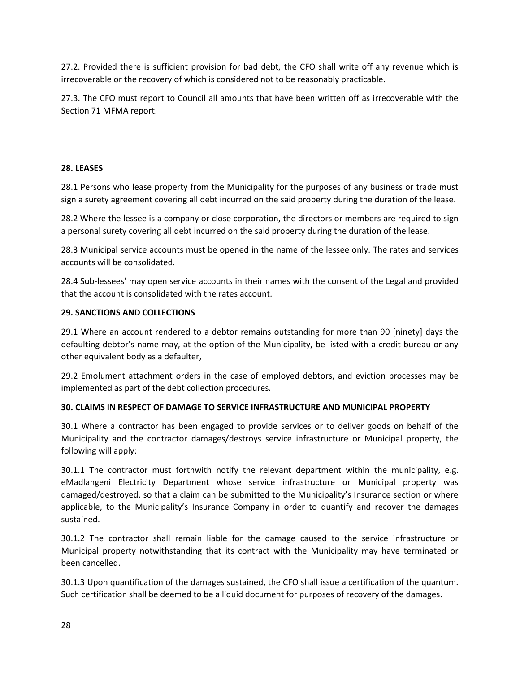27.2. Provided there is sufficient provision for bad debt, the CFO shall write off any revenue which is irrecoverable or the recovery of which is considered not to be reasonably practicable.

27.3. The CFO must report to Council all amounts that have been written off as irrecoverable with the Section 71 MFMA report.

## **28. LEASES**

28.1 Persons who lease property from the Municipality for the purposes of any business or trade must sign a surety agreement covering all debt incurred on the said property during the duration of the lease.

28.2 Where the lessee is a company or close corporation, the directors or members are required to sign a personal surety covering all debt incurred on the said property during the duration of the lease.

28.3 Municipal service accounts must be opened in the name of the lessee only. The rates and services accounts will be consolidated.

28.4 Sub-lessees' may open service accounts in their names with the consent of the Legal and provided that the account is consolidated with the rates account.

## **29. SANCTIONS AND COLLECTIONS**

29.1 Where an account rendered to a debtor remains outstanding for more than 90 [ninety] days the defaulting debtor's name may, at the option of the Municipality, be listed with a credit bureau or any other equivalent body as a defaulter,

29.2 Emolument attachment orders in the case of employed debtors, and eviction processes may be implemented as part of the debt collection procedures.

## **30. CLAIMS IN RESPECT OF DAMAGE TO SERVICE INFRASTRUCTURE AND MUNICIPAL PROPERTY**

30.1 Where a contractor has been engaged to provide services or to deliver goods on behalf of the Municipality and the contractor damages/destroys service infrastructure or Municipal property, the following will apply:

30.1.1 The contractor must forthwith notify the relevant department within the municipality, e.g. eMadlangeni Electricity Department whose service infrastructure or Municipal property was damaged/destroyed, so that a claim can be submitted to the Municipality's Insurance section or where applicable, to the Municipality's Insurance Company in order to quantify and recover the damages sustained.

30.1.2 The contractor shall remain liable for the damage caused to the service infrastructure or Municipal property notwithstanding that its contract with the Municipality may have terminated or been cancelled.

30.1.3 Upon quantification of the damages sustained, the CFO shall issue a certification of the quantum. Such certification shall be deemed to be a liquid document for purposes of recovery of the damages.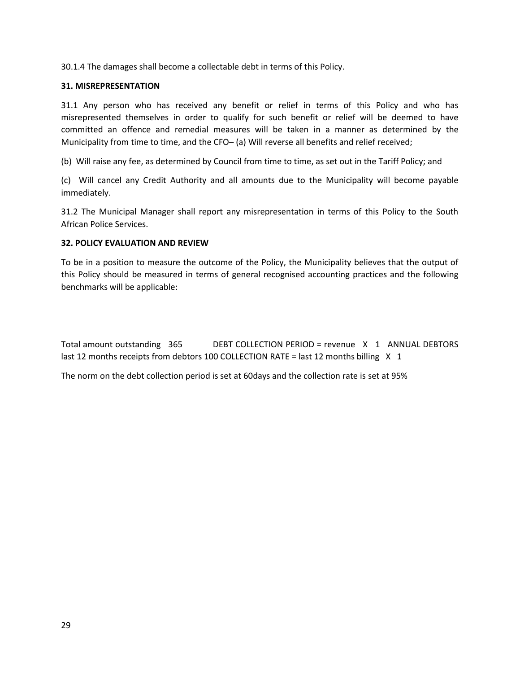30.1.4 The damages shall become a collectable debt in terms of this Policy.

## **31. MISREPRESENTATION**

31.1 Any person who has received any benefit or relief in terms of this Policy and who has misrepresented themselves in order to qualify for such benefit or relief will be deemed to have committed an offence and remedial measures will be taken in a manner as determined by the Municipality from time to time, and the CFO– (a) Will reverse all benefits and relief received;

(b) Will raise any fee, as determined by Council from time to time, as set out in the Tariff Policy; and

(c) Will cancel any Credit Authority and all amounts due to the Municipality will become payable immediately.

31.2 The Municipal Manager shall report any misrepresentation in terms of this Policy to the South African Police Services.

## **32. POLICY EVALUATION AND REVIEW**

To be in a position to measure the outcome of the Policy, the Municipality believes that the output of this Policy should be measured in terms of general recognised accounting practices and the following benchmarks will be applicable:

| Total amount outstanding 365                                                            |  | DEBT COLLECTION PERIOD = revenue X 1 ANNUAL DEBTORS |  |  |  |
|-----------------------------------------------------------------------------------------|--|-----------------------------------------------------|--|--|--|
| last 12 months receipts from debtors 100 COLLECTION RATE = last 12 months billing $X$ 1 |  |                                                     |  |  |  |

The norm on the debt collection period is set at 60days and the collection rate is set at 95%